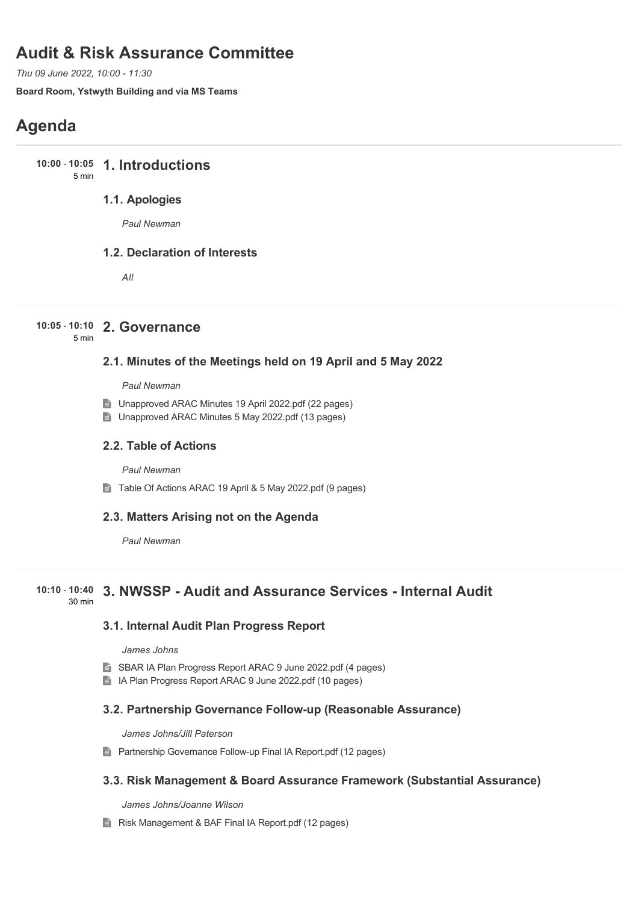## **Audit & Risk Assurance Committee**

*Thu 09 June 2022, 10:00 - 11:30*

**Board Room, Ystwyth Building and via MS Teams**

# **Agenda**

**1. Introductions 10:00** - **10:05** 5 min

## **1.1. Apologies**

*Paul Newman*

### **1.2. Declaration of Interests**

*All*

## **2. Governance 10:05** - **10:10**

5 min

## **2.1. Minutes of the Meetings held on 19 April and 5 May 2022**

*Paul Newman*

- Unapproved ARAC Minutes 19 April 2022.pdf (22 pages)
- Unapproved ARAC Minutes 5 May 2022.pdf (13 pages)

#### **2.2. Table of Actions**

*Paul Newman*

■ Table Of Actions ARAC 19 April & 5 May 2022.pdf (9 pages)

### **2.3. Matters Arising not on the Agenda**

*Paul Newman*

#### **3. NWSSP - Audit and Assurance Services - Internal Audit 10:10** - **10:40** 30 min

### **3.1. Internal Audit Plan Progress Report**

*James Johns*

- SBAR IA Plan Progress Report ARAC 9 June 2022.pdf (4 pages)
- In IA Plan Progress Report ARAC 9 June 2022.pdf (10 pages)

### **3.2. Partnership Governance Follow-up (Reasonable Assurance)**

*James Johns/Jill Paterson*

**Partnership Governance Follow-up Final IA Report.pdf (12 pages)** 

### **3.3. Risk Management & Board Assurance Framework (Substantial Assurance)**

*James Johns/Joanne Wilson*

**Risk Management & BAF Final IA Report.pdf (12 pages)**